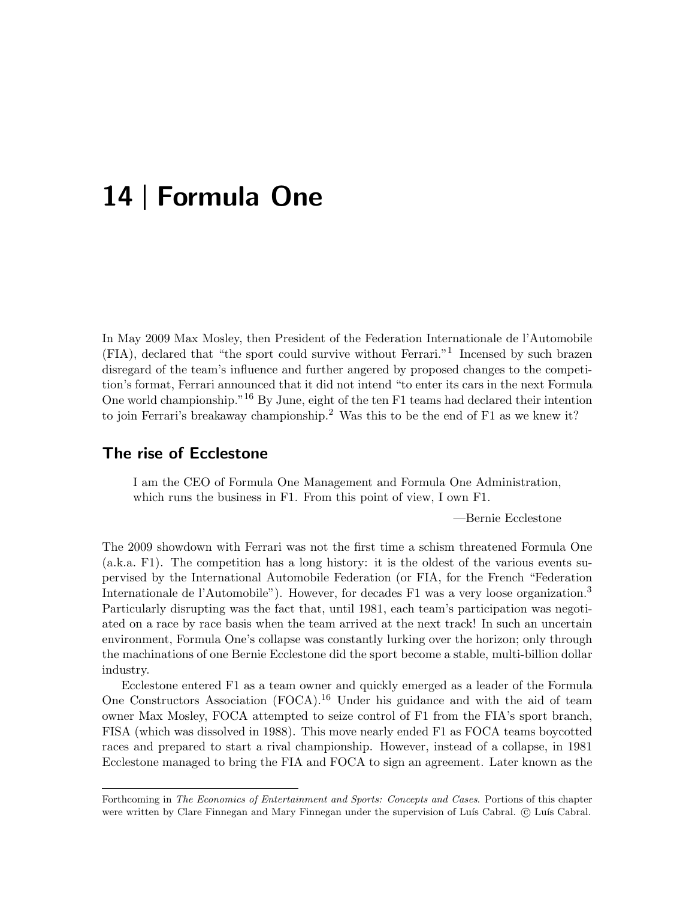# 14 | Formula One

In May 2009 Max Mosley, then President of the Federation Internationale de l'Automobile (FIA), declared that "the sport could survive without Ferrari."<sup>1</sup> Incensed by such brazen disregard of the team's influence and further angered by proposed changes to the competition's format, Ferrari announced that it did not intend "to enter its cars in the next Formula One world championship."<sup>16</sup> By June, eight of the ten F1 teams had declared their intention to join Ferrari's breakaway championship.<sup>2</sup> Was this to be the end of F1 as we knew it?

#### The rise of Ecclestone

I am the CEO of Formula One Management and Formula One Administration, which runs the business in F1. From this point of view, I own F1.

—Bernie Ecclestone

The 2009 showdown with Ferrari was not the first time a schism threatened Formula One (a.k.a. F1). The competition has a long history: it is the oldest of the various events supervised by the International Automobile Federation (or FIA, for the French "Federation Internationale de l'Automobile"). However, for decades F1 was a very loose organization.<sup>3</sup> Particularly disrupting was the fact that, until 1981, each team's participation was negotiated on a race by race basis when the team arrived at the next track! In such an uncertain environment, Formula One's collapse was constantly lurking over the horizon; only through the machinations of one Bernie Ecclestone did the sport become a stable, multi-billion dollar industry.

Ecclestone entered F1 as a team owner and quickly emerged as a leader of the Formula One Constructors Association (FOCA).<sup>16</sup> Under his guidance and with the aid of team owner Max Mosley, FOCA attempted to seize control of F1 from the FIA's sport branch, FISA (which was dissolved in 1988). This move nearly ended F1 as FOCA teams boycotted races and prepared to start a rival championship. However, instead of a collapse, in 1981 Ecclestone managed to bring the FIA and FOCA to sign an agreement. Later known as the

Forthcoming in The Economics of Entertainment and Sports: Concepts and Cases. Portions of this chapter were written by Clare Finnegan and Mary Finnegan under the supervision of Luís Cabral. © Luís Cabral.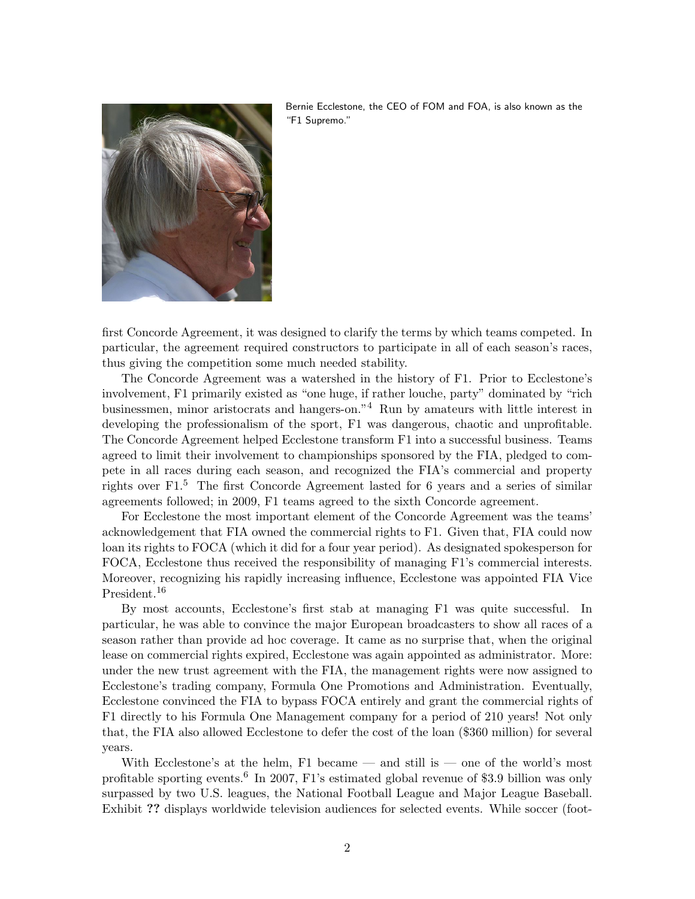

Bernie Ecclestone, the CEO of FOM and FOA, is also known as the "F1 Supremo."

first Concorde Agreement, it was designed to clarify the terms by which teams competed. In particular, the agreement required constructors to participate in all of each season's races, thus giving the competition some much needed stability.

The Concorde Agreement was a watershed in the history of F1. Prior to Ecclestone's involvement, F1 primarily existed as "one huge, if rather louche, party" dominated by "rich businessmen, minor aristocrats and hangers-on."<sup>4</sup> Run by amateurs with little interest in developing the professionalism of the sport, F1 was dangerous, chaotic and unprofitable. The Concorde Agreement helped Ecclestone transform F1 into a successful business. Teams agreed to limit their involvement to championships sponsored by the FIA, pledged to compete in all races during each season, and recognized the FIA's commercial and property rights over F1.<sup>5</sup> The first Concorde Agreement lasted for 6 years and a series of similar agreements followed; in 2009, F1 teams agreed to the sixth Concorde agreement.

For Ecclestone the most important element of the Concorde Agreement was the teams' acknowledgement that FIA owned the commercial rights to F1. Given that, FIA could now loan its rights to FOCA (which it did for a four year period). As designated spokesperson for FOCA, Ecclestone thus received the responsibility of managing F1's commercial interests. Moreover, recognizing his rapidly increasing influence, Ecclestone was appointed FIA Vice President.<sup>16</sup>

By most accounts, Ecclestone's first stab at managing F1 was quite successful. In particular, he was able to convince the major European broadcasters to show all races of a season rather than provide ad hoc coverage. It came as no surprise that, when the original lease on commercial rights expired, Ecclestone was again appointed as administrator. More: under the new trust agreement with the FIA, the management rights were now assigned to Ecclestone's trading company, Formula One Promotions and Administration. Eventually, Ecclestone convinced the FIA to bypass FOCA entirely and grant the commercial rights of F1 directly to his Formula One Management company for a period of 210 years! Not only that, the FIA also allowed Ecclestone to defer the cost of the loan (\$360 million) for several years.

With Ecclestone's at the helm,  $F1$  became — and still is — one of the world's most profitable sporting events.<sup>6</sup> In 2007, F1's estimated global revenue of \$3.9 billion was only surpassed by two U.S. leagues, the National Football League and Major League Baseball. Exhibit ?? displays worldwide television audiences for selected events. While soccer (foot-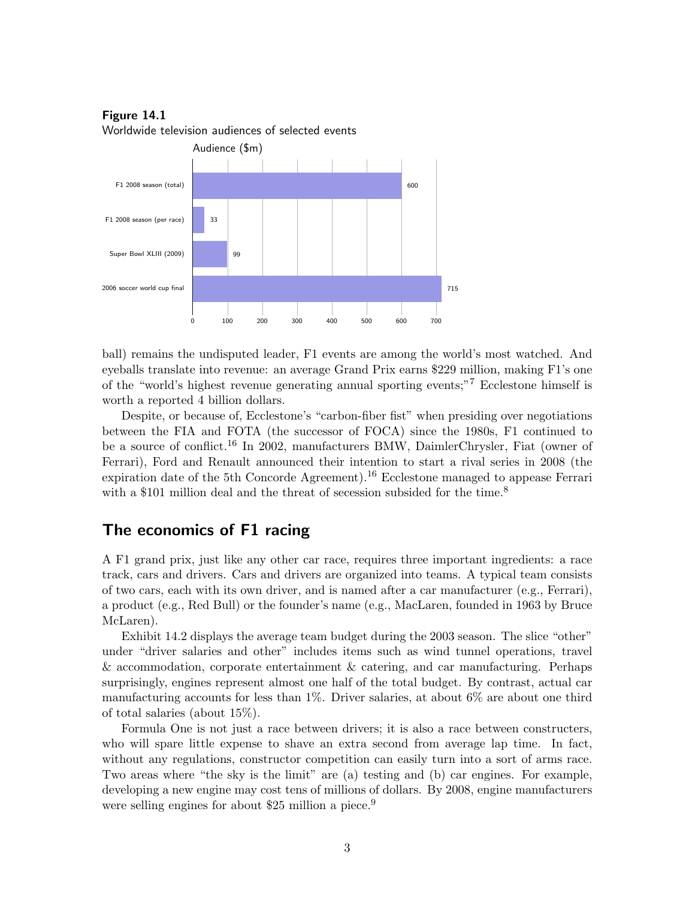Figure 14.1 Worldwide television audiences of selected events



ball) remains the undisputed leader, F1 events are among the world's most watched. And eyeballs translate into revenue: an average Grand Prix earns \$229 million, making F1's one of the "world's highest revenue generating annual sporting events;"<sup>7</sup> Ecclestone himself is worth a reported 4 billion dollars.

Despite, or because of, Ecclestone's "carbon-fiber fist" when presiding over negotiations between the FIA and FOTA (the successor of FOCA) since the 1980s, F1 continued to be a source of conflict.<sup>16</sup> In 2002, manufacturers BMW, DaimlerChrysler, Fiat (owner of Ferrari), Ford and Renault announced their intention to start a rival series in 2008 (the expiration date of the 5th Concorde Agreement).<sup>16</sup> Ecclestone managed to appease Ferrari with a \$101 million deal and the threat of secession subsided for the time.<sup>8</sup>

## The economics of F1 racing

A F1 grand prix, just like any other car race, requires three important ingredients: a race track, cars and drivers. Cars and drivers are organized into teams. A typical team consists of two cars, each with its own driver, and is named after a car manufacturer (e.g., Ferrari), a product (e.g., Red Bull) or the founder's name (e.g., MacLaren, founded in 1963 by Bruce McLaren).

Exhibit 14.2 displays the average team budget during the 2003 season. The slice "other" under "driver salaries and other" includes items such as wind tunnel operations, travel & accommodation, corporate entertainment & catering, and car manufacturing. Perhaps surprisingly, engines represent almost one half of the total budget. By contrast, actual car manufacturing accounts for less than  $1\%$ . Driver salaries, at about 6% are about one third of total salaries (about 15%).

Formula One is not just a race between drivers; it is also a race between constructers, who will spare little expense to shave an extra second from average lap time. In fact, without any regulations, constructor competition can easily turn into a sort of arms race. Two areas where "the sky is the limit" are (a) testing and (b) car engines. For example, developing a new engine may cost tens of millions of dollars. By 2008, engine manufacturers were selling engines for about \$25 million a piece.<sup>9</sup>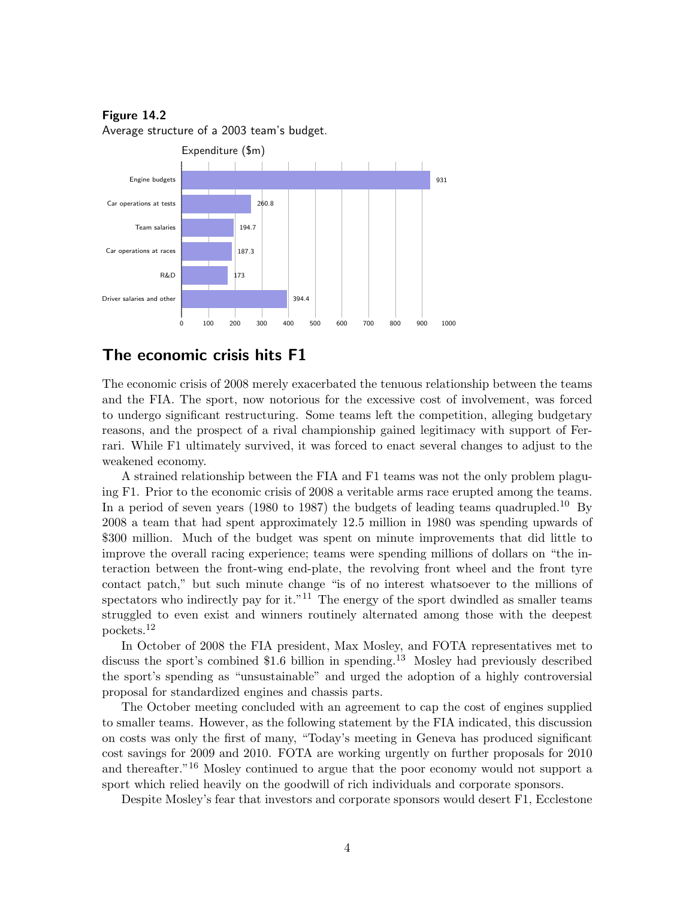Average structure of a 2003 team's budget.



### The economic crisis hits F1

The economic crisis of 2008 merely exacerbated the tenuous relationship between the teams and the FIA. The sport, now notorious for the excessive cost of involvement, was forced to undergo significant restructuring. Some teams left the competition, alleging budgetary reasons, and the prospect of a rival championship gained legitimacy with support of Ferrari. While F1 ultimately survived, it was forced to enact several changes to adjust to the weakened economy.

A strained relationship between the FIA and F1 teams was not the only problem plaguing F1. Prior to the economic crisis of 2008 a veritable arms race erupted among the teams. In a period of seven years (1980 to 1987) the budgets of leading teams quadrupled.<sup>10</sup> By 2008 a team that had spent approximately 12.5 million in 1980 was spending upwards of \$300 million. Much of the budget was spent on minute improvements that did little to improve the overall racing experience; teams were spending millions of dollars on "the interaction between the front-wing end-plate, the revolving front wheel and the front tyre contact patch," but such minute change "is of no interest whatsoever to the millions of spectators who indirectly pay for it."<sup>11</sup> The energy of the sport dwindled as smaller teams struggled to even exist and winners routinely alternated among those with the deepest pockets.<sup>12</sup>

In October of 2008 the FIA president, Max Mosley, and FOTA representatives met to discuss the sport's combined \$1.6 billion in spending.<sup>13</sup> Mosley had previously described the sport's spending as "unsustainable" and urged the adoption of a highly controversial proposal for standardized engines and chassis parts.

The October meeting concluded with an agreement to cap the cost of engines supplied to smaller teams. However, as the following statement by the FIA indicated, this discussion on costs was only the first of many, "Today's meeting in Geneva has produced significant cost savings for 2009 and 2010. FOTA are working urgently on further proposals for 2010 and thereafter.<sup>"16</sup> Mosley continued to argue that the poor economy would not support a sport which relied heavily on the goodwill of rich individuals and corporate sponsors.

Despite Mosley's fear that investors and corporate sponsors would desert F1, Ecclestone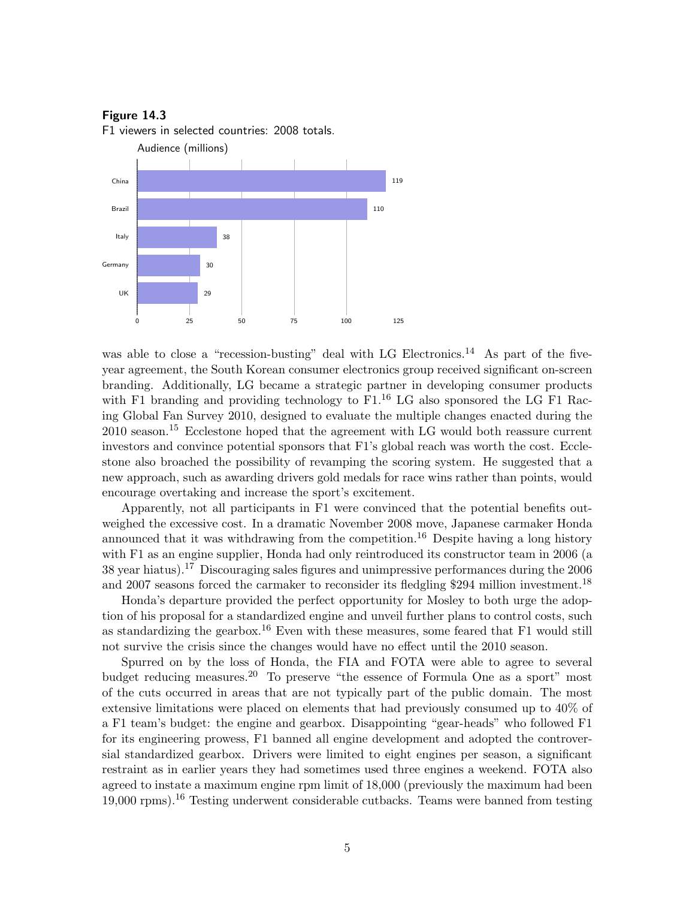F1 viewers in selected countries: 2008 totals.



was able to close a "recession-busting" deal with LG Electronics.<sup>14</sup> As part of the fiveyear agreement, the South Korean consumer electronics group received significant on-screen branding. Additionally, LG became a strategic partner in developing consumer products with F1 branding and providing technology to  $F1<sup>16</sup>$  LG also sponsored the LG F1 Racing Global Fan Survey 2010, designed to evaluate the multiple changes enacted during the 2010 season.<sup>15</sup> Ecclestone hoped that the agreement with LG would both reassure current investors and convince potential sponsors that F1's global reach was worth the cost. Ecclestone also broached the possibility of revamping the scoring system. He suggested that a new approach, such as awarding drivers gold medals for race wins rather than points, would encourage overtaking and increase the sport's excitement.

Apparently, not all participants in F1 were convinced that the potential benefits outweighed the excessive cost. In a dramatic November 2008 move, Japanese carmaker Honda announced that it was withdrawing from the competition.<sup>16</sup> Despite having a long history with F1 as an engine supplier, Honda had only reintroduced its constructor team in 2006 (a 38 year hiatus).<sup>17</sup> Discouraging sales figures and unimpressive performances during the 2006 and 2007 seasons forced the carmaker to reconsider its fledgling \$294 million investment.<sup>18</sup>

Honda's departure provided the perfect opportunity for Mosley to both urge the adoption of his proposal for a standardized engine and unveil further plans to control costs, such as standardizing the gearbox.<sup>16</sup> Even with these measures, some feared that  $F1$  would still not survive the crisis since the changes would have no effect until the 2010 season.

Spurred on by the loss of Honda, the FIA and FOTA were able to agree to several budget reducing measures.<sup>20</sup> To preserve "the essence of Formula One as a sport" most of the cuts occurred in areas that are not typically part of the public domain. The most extensive limitations were placed on elements that had previously consumed up to 40% of a F1 team's budget: the engine and gearbox. Disappointing "gear-heads" who followed F1 for its engineering prowess, F1 banned all engine development and adopted the controversial standardized gearbox. Drivers were limited to eight engines per season, a significant restraint as in earlier years they had sometimes used three engines a weekend. FOTA also agreed to instate a maximum engine rpm limit of 18,000 (previously the maximum had been 19,000 rpms).<sup>16</sup> Testing underwent considerable cutbacks. Teams were banned from testing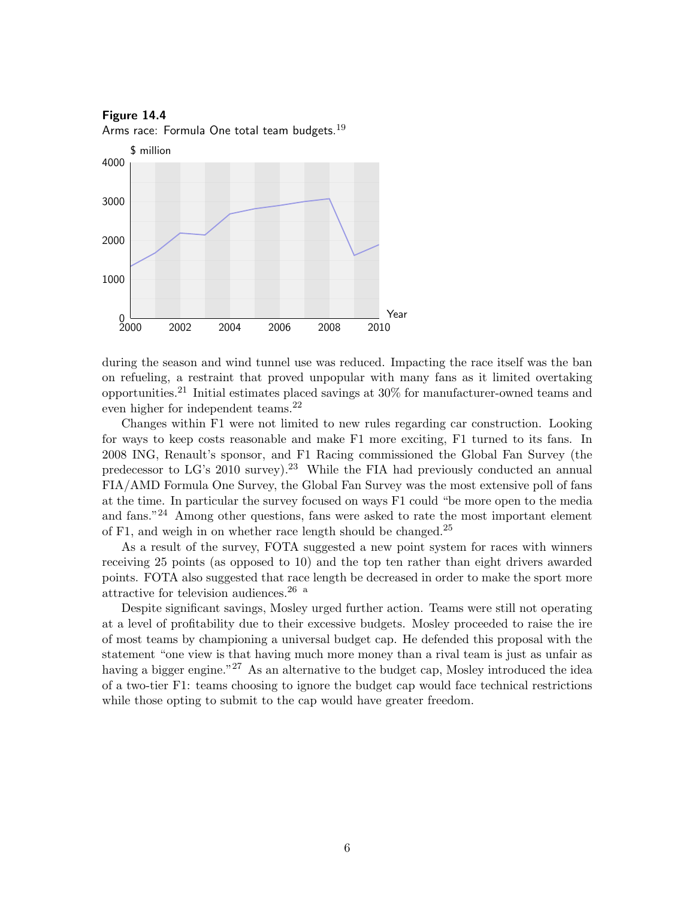

during the season and wind tunnel use was reduced. Impacting the race itself was the ban on refueling, a restraint that proved unpopular with many fans as it limited overtaking opportunities.<sup>21</sup> Initial estimates placed savings at  $30\%$  for manufacturer-owned teams and even higher for independent teams.<sup>22</sup>

Changes within F1 were not limited to new rules regarding car construction. Looking for ways to keep costs reasonable and make F1 more exciting, F1 turned to its fans. In 2008 ING, Renault's sponsor, and F1 Racing commissioned the Global Fan Survey (the predecessor to  $LG$ 's 2010 survey).<sup>23</sup> While the FIA had previously conducted an annual FIA/AMD Formula One Survey, the Global Fan Survey was the most extensive poll of fans at the time. In particular the survey focused on ways F1 could "be more open to the media and fans."<sup>24</sup> Among other questions, fans were asked to rate the most important element of F1, and weigh in on whether race length should be changed.<sup>25</sup>

As a result of the survey, FOTA suggested a new point system for races with winners receiving 25 points (as opposed to 10) and the top ten rather than eight drivers awarded points. FOTA also suggested that race length be decreased in order to make the sport more attractive for television audiences.<sup>26 a</sup>

Despite significant savings, Mosley urged further action. Teams were still not operating at a level of profitability due to their excessive budgets. Mosley proceeded to raise the ire of most teams by championing a universal budget cap. He defended this proposal with the statement "one view is that having much more money than a rival team is just as unfair as having a bigger engine."<sup>27</sup> As an alternative to the budget cap, Mosley introduced the idea of a two-tier F1: teams choosing to ignore the budget cap would face technical restrictions while those opting to submit to the cap would have greater freedom.

Figure 14.4 Arms race: Formula One total team budgets. $19$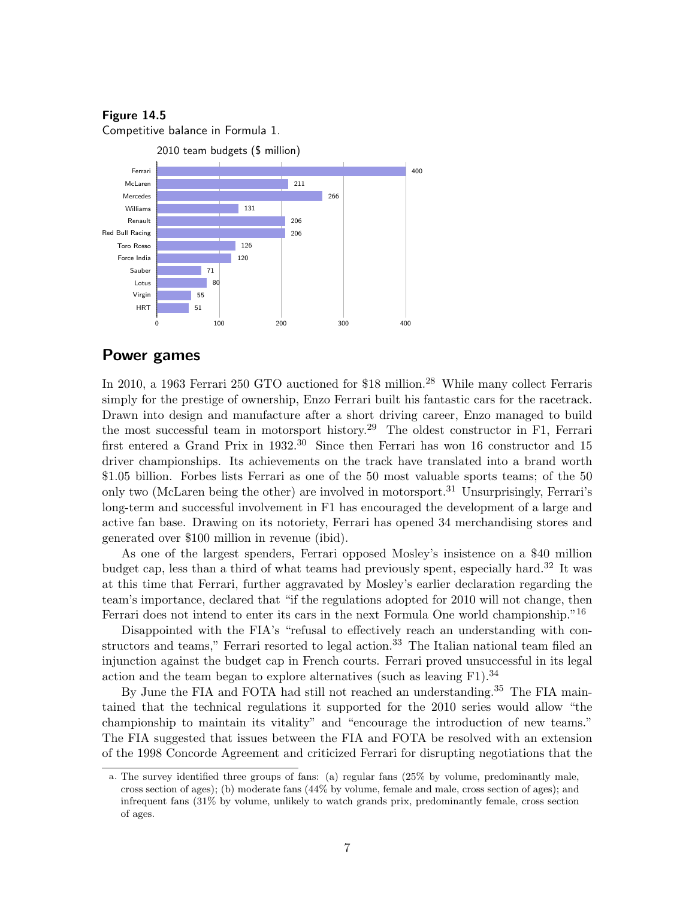Competitive balance in Formula 1.



#### Power games

In 2010, a 1963 Ferrari 250 GTO auctioned for \$18 million.<sup>28</sup> While many collect Ferraris simply for the prestige of ownership, Enzo Ferrari built his fantastic cars for the racetrack. Drawn into design and manufacture after a short driving career, Enzo managed to build the most successful team in motorsport history.<sup>29</sup> The oldest constructor in F1, Ferrari first entered a Grand Prix in  $1932^{30}$  Since then Ferrari has won 16 constructor and 15 driver championships. Its achievements on the track have translated into a brand worth \$1.05 billion. Forbes lists Ferrari as one of the 50 most valuable sports teams; of the 50 only two (McLaren being the other) are involved in motorsport.<sup>31</sup> Unsurprisingly, Ferrari's long-term and successful involvement in F1 has encouraged the development of a large and active fan base. Drawing on its notoriety, Ferrari has opened 34 merchandising stores and generated over \$100 million in revenue (ibid).

As one of the largest spenders, Ferrari opposed Mosley's insistence on a \$40 million budget cap, less than a third of what teams had previously spent, especially hard.<sup>32</sup> It was at this time that Ferrari, further aggravated by Mosley's earlier declaration regarding the team's importance, declared that "if the regulations adopted for 2010 will not change, then Ferrari does not intend to enter its cars in the next Formula One world championship."<sup>16</sup>

Disappointed with the FIA's "refusal to effectively reach an understanding with constructors and teams," Ferrari resorted to legal action.<sup>33</sup> The Italian national team filed an injunction against the budget cap in French courts. Ferrari proved unsuccessful in its legal action and the team began to explore alternatives (such as leaving  $F1$ ).<sup>34</sup>

By June the FIA and FOTA had still not reached an understanding.<sup>35</sup> The FIA maintained that the technical regulations it supported for the 2010 series would allow "the championship to maintain its vitality" and "encourage the introduction of new teams." The FIA suggested that issues between the FIA and FOTA be resolved with an extension of the 1998 Concorde Agreement and criticized Ferrari for disrupting negotiations that the

a. The survey identified three groups of fans: (a) regular fans (25% by volume, predominantly male, cross section of ages); (b) moderate fans (44% by volume, female and male, cross section of ages); and infrequent fans (31% by volume, unlikely to watch grands prix, predominantly female, cross section of ages.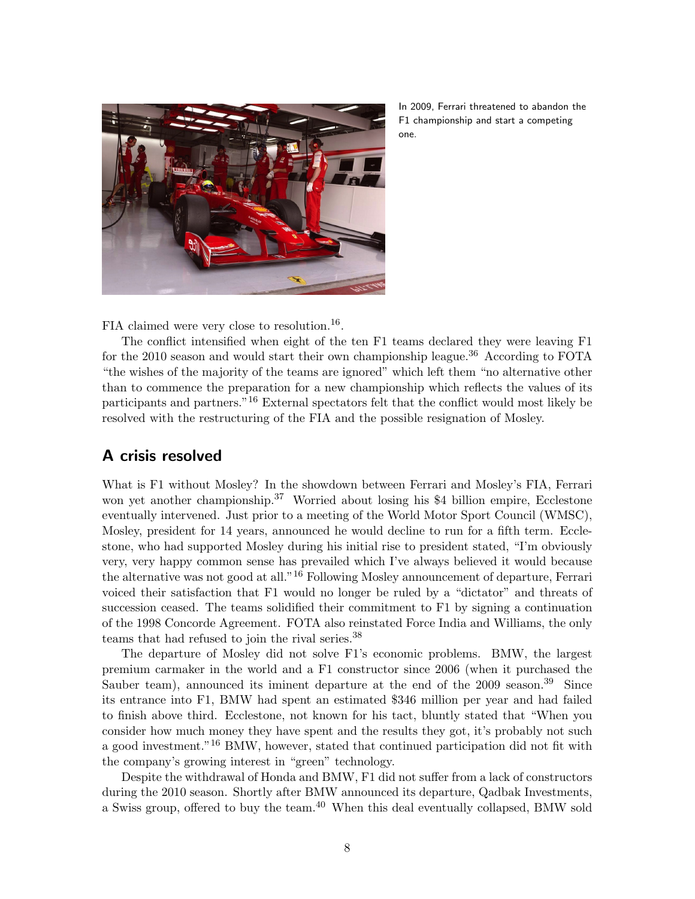

In 2009, Ferrari threatened to abandon the F1 championship and start a competing one.

FIA claimed were very close to resolution.<sup>16</sup>.

The conflict intensified when eight of the ten F1 teams declared they were leaving F1 for the 2010 season and would start their own championship league.<sup>36</sup> According to FOTA "the wishes of the majority of the teams are ignored" which left them "no alternative other than to commence the preparation for a new championship which reflects the values of its participants and partners."<sup>16</sup> External spectators felt that the conflict would most likely be resolved with the restructuring of the FIA and the possible resignation of Mosley.

## A crisis resolved

What is F1 without Mosley? In the showdown between Ferrari and Mosley's FIA, Ferrari won yet another championship.<sup>37</sup> Worried about losing his \$4 billion empire, Ecclestone eventually intervened. Just prior to a meeting of the World Motor Sport Council (WMSC), Mosley, president for 14 years, announced he would decline to run for a fifth term. Ecclestone, who had supported Mosley during his initial rise to president stated, "I'm obviously very, very happy common sense has prevailed which I've always believed it would because the alternative was not good at all."<sup>16</sup> Following Mosley announcement of departure, Ferrari voiced their satisfaction that F1 would no longer be ruled by a "dictator" and threats of succession ceased. The teams solidified their commitment to F1 by signing a continuation of the 1998 Concorde Agreement. FOTA also reinstated Force India and Williams, the only teams that had refused to join the rival series.<sup>38</sup>

The departure of Mosley did not solve F1's economic problems. BMW, the largest premium carmaker in the world and a F1 constructor since 2006 (when it purchased the Sauber team), announced its iminent departure at the end of the 2009 season.<sup>39</sup> Since its entrance into F1, BMW had spent an estimated \$346 million per year and had failed to finish above third. Ecclestone, not known for his tact, bluntly stated that "When you consider how much money they have spent and the results they got, it's probably not such a good investment."<sup>16</sup> BMW, however, stated that continued participation did not fit with the company's growing interest in "green" technology.

Despite the withdrawal of Honda and BMW, F1 did not suffer from a lack of constructors during the 2010 season. Shortly after BMW announced its departure, Qadbak Investments, a Swiss group, offered to buy the team.<sup>40</sup> When this deal eventually collapsed, BMW sold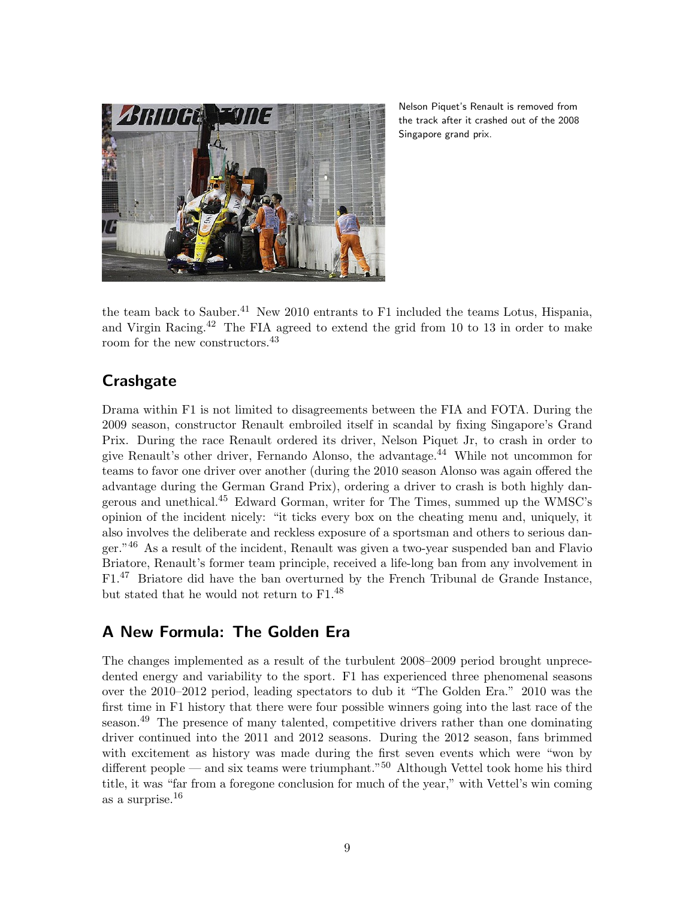

Nelson Piquet's Renault is removed from the track after it crashed out of the 2008 Singapore grand prix.

the team back to Sauber.<sup>41</sup> New 2010 entrants to F1 included the teams Lotus, Hispania, and Virgin Racing.<sup>42</sup> The FIA agreed to extend the grid from 10 to 13 in order to make room for the new constructors.<sup>43</sup>

## **Crashgate**

Drama within F1 is not limited to disagreements between the FIA and FOTA. During the 2009 season, constructor Renault embroiled itself in scandal by fixing Singapore's Grand Prix. During the race Renault ordered its driver, Nelson Piquet Jr, to crash in order to give Renault's other driver, Fernando Alonso, the advantage.<sup>44</sup> While not uncommon for teams to favor one driver over another (during the 2010 season Alonso was again offered the advantage during the German Grand Prix), ordering a driver to crash is both highly dangerous and unethical.<sup>45</sup> Edward Gorman, writer for The Times, summed up the WMSC's opinion of the incident nicely: "it ticks every box on the cheating menu and, uniquely, it also involves the deliberate and reckless exposure of a sportsman and others to serious danger."<sup>46</sup> As a result of the incident, Renault was given a two-year suspended ban and Flavio Briatore, Renault's former team principle, received a life-long ban from any involvement in F1.<sup>47</sup> Briatore did have the ban overturned by the French Tribunal de Grande Instance, but stated that he would not return to F1.<sup>48</sup>

## A New Formula: The Golden Era

The changes implemented as a result of the turbulent 2008–2009 period brought unprecedented energy and variability to the sport. F1 has experienced three phenomenal seasons over the 2010–2012 period, leading spectators to dub it "The Golden Era." 2010 was the first time in F1 history that there were four possible winners going into the last race of the season.<sup>49</sup> The presence of many talented, competitive drivers rather than one dominating driver continued into the 2011 and 2012 seasons. During the 2012 season, fans brimmed with excitement as history was made during the first seven events which were "won by different people — and six teams were triumphant."<sup>50</sup> Although Vettel took home his third title, it was "far from a foregone conclusion for much of the year," with Vettel's win coming as a surprise.<sup>16</sup>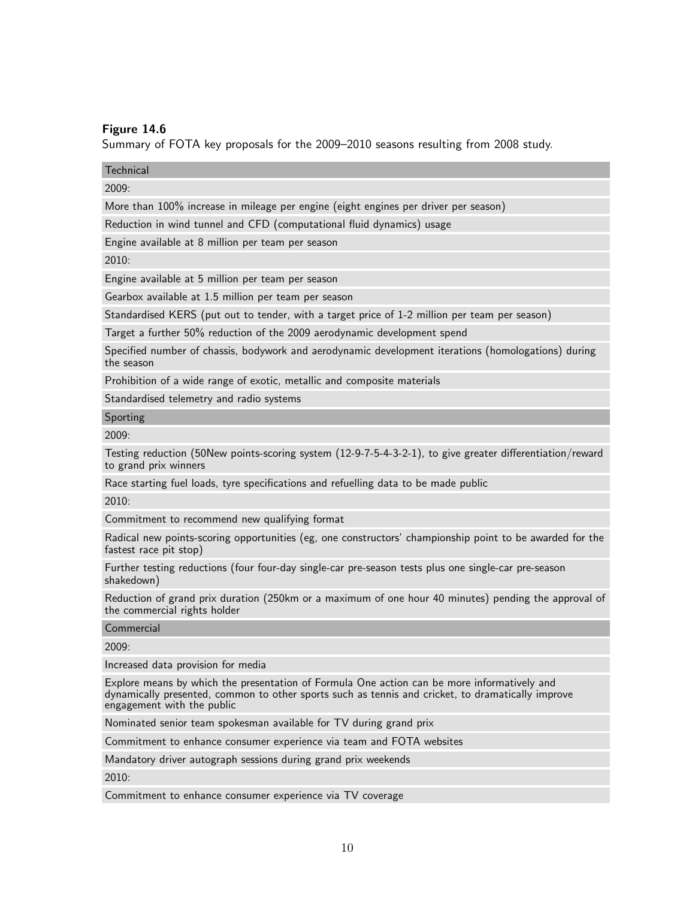Summary of FOTA key proposals for the 2009–2010 seasons resulting from 2008 study.

**Technical** 

 $2009<sup>1</sup>$ 

More than 100% increase in mileage per engine (eight engines per driver per season)

Reduction in wind tunnel and CFD (computational fluid dynamics) usage

Engine available at 8 million per team per season

2010:

Engine available at 5 million per team per season

Gearbox available at 1.5 million per team per season

Standardised KERS (put out to tender, with a target price of 1-2 million per team per season)

Target a further 50% reduction of the 2009 aerodynamic development spend

Specified number of chassis, bodywork and aerodynamic development iterations (homologations) during the season

Prohibition of a wide range of exotic, metallic and composite materials

Standardised telemetry and radio systems

Sporting

2009:

Testing reduction (50New points-scoring system (12-9-7-5-4-3-2-1), to give greater differentiation/reward to grand prix winners

Race starting fuel loads, tyre specifications and refuelling data to be made public

2010:

Commitment to recommend new qualifying format

Radical new points-scoring opportunities (eg, one constructors' championship point to be awarded for the fastest race pit stop)

Further testing reductions (four four-day single-car pre-season tests plus one single-car pre-season shakedown)

Reduction of grand prix duration (250km or a maximum of one hour 40 minutes) pending the approval of the commercial rights holder

Commercial

2009:

Increased data provision for media

Explore means by which the presentation of Formula One action can be more informatively and dynamically presented, common to other sports such as tennis and cricket, to dramatically improve engagement with the public

Nominated senior team spokesman available for TV during grand prix

Commitment to enhance consumer experience via team and FOTA websites

Mandatory driver autograph sessions during grand prix weekends

2010:

Commitment to enhance consumer experience via TV coverage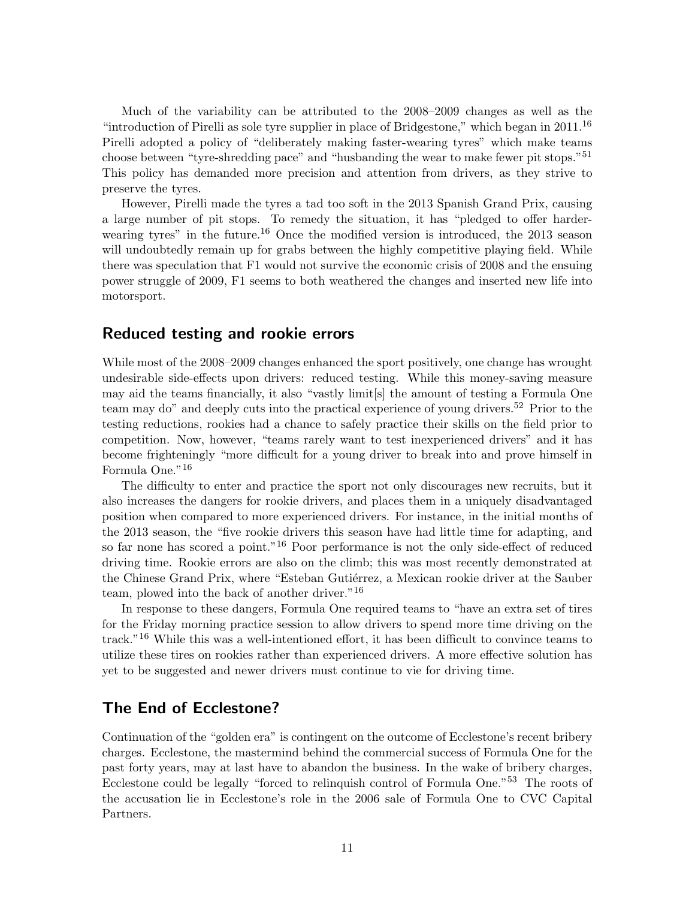Much of the variability can be attributed to the 2008–2009 changes as well as the "introduction of Pirelli as sole tyre supplier in place of Bridgestone," which began in  $2011$ .<sup>16</sup> Pirelli adopted a policy of "deliberately making faster-wearing tyres" which make teams choose between "tyre-shredding pace" and "husbanding the wear to make fewer pit stops."<sup>51</sup> This policy has demanded more precision and attention from drivers, as they strive to preserve the tyres.

However, Pirelli made the tyres a tad too soft in the 2013 Spanish Grand Prix, causing a large number of pit stops. To remedy the situation, it has "pledged to offer harderwearing tyres" in the future.<sup>16</sup> Once the modified version is introduced, the 2013 season will undoubtedly remain up for grabs between the highly competitive playing field. While there was speculation that F1 would not survive the economic crisis of 2008 and the ensuing power struggle of 2009, F1 seems to both weathered the changes and inserted new life into motorsport.

### Reduced testing and rookie errors

While most of the 2008–2009 changes enhanced the sport positively, one change has wrought undesirable side-effects upon drivers: reduced testing. While this money-saving measure may aid the teams financially, it also "vastly limit[s] the amount of testing a Formula One team may do" and deeply cuts into the practical experience of young drivers.<sup>52</sup> Prior to the testing reductions, rookies had a chance to safely practice their skills on the field prior to competition. Now, however, "teams rarely want to test inexperienced drivers" and it has become frighteningly "more difficult for a young driver to break into and prove himself in Formula One."<sup>16</sup>

The difficulty to enter and practice the sport not only discourages new recruits, but it also increases the dangers for rookie drivers, and places them in a uniquely disadvantaged position when compared to more experienced drivers. For instance, in the initial months of the 2013 season, the "five rookie drivers this season have had little time for adapting, and so far none has scored a point."<sup>16</sup> Poor performance is not the only side-effect of reduced driving time. Rookie errors are also on the climb; this was most recently demonstrated at the Chinese Grand Prix, where "Esteban Gutiérrez, a Mexican rookie driver at the Sauber team, plowed into the back of another driver."<sup>16</sup>

In response to these dangers, Formula One required teams to "have an extra set of tires for the Friday morning practice session to allow drivers to spend more time driving on the track."<sup>16</sup> While this was a well-intentioned effort, it has been difficult to convince teams to utilize these tires on rookies rather than experienced drivers. A more effective solution has yet to be suggested and newer drivers must continue to vie for driving time.

## The End of Ecclestone?

Continuation of the "golden era" is contingent on the outcome of Ecclestone's recent bribery charges. Ecclestone, the mastermind behind the commercial success of Formula One for the past forty years, may at last have to abandon the business. In the wake of bribery charges, Ecclestone could be legally "forced to relinquish control of Formula One."<sup>53</sup> The roots of the accusation lie in Ecclestone's role in the 2006 sale of Formula One to CVC Capital Partners.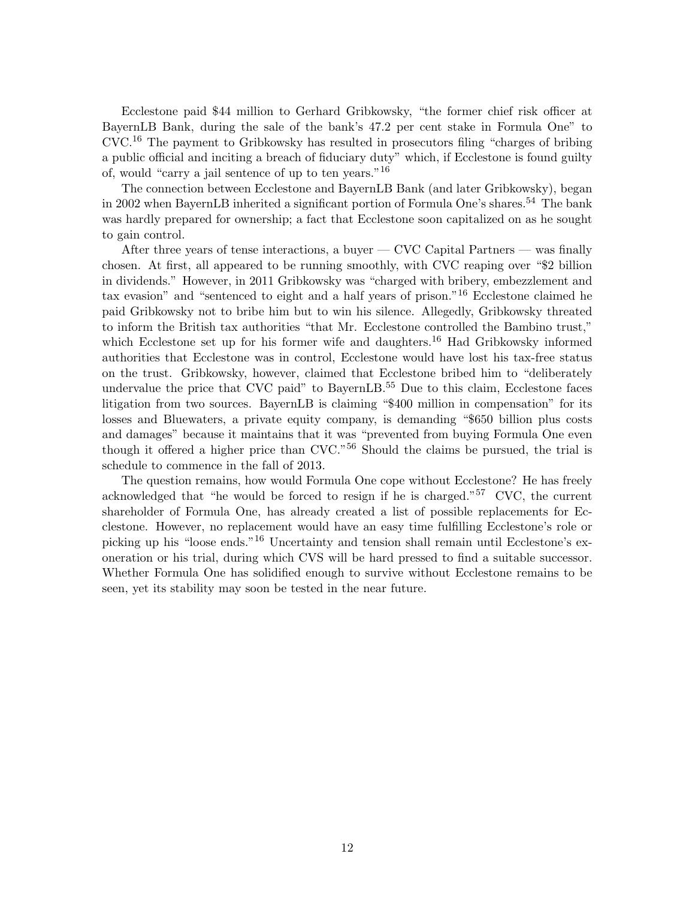Ecclestone paid \$44 million to Gerhard Gribkowsky, "the former chief risk officer at BayernLB Bank, during the sale of the bank's 47.2 per cent stake in Formula One" to CVC.<sup>16</sup> The payment to Gribkowsky has resulted in prosecutors filing "charges of bribing a public official and inciting a breach of fiduciary duty" which, if Ecclestone is found guilty of, would "carry a jail sentence of up to ten years."<sup>16</sup>

The connection between Ecclestone and BayernLB Bank (and later Gribkowsky), began in 2002 when BayernLB inherited a significant portion of Formula One's shares.<sup>54</sup> The bank was hardly prepared for ownership; a fact that Ecclestone soon capitalized on as he sought to gain control.

After three years of tense interactions, a buyer — CVC Capital Partners — was finally chosen. At first, all appeared to be running smoothly, with CVC reaping over "\$2 billion in dividends." However, in 2011 Gribkowsky was "charged with bribery, embezzlement and tax evasion" and "sentenced to eight and a half years of prison."<sup>16</sup> Ecclestone claimed he paid Gribkowsky not to bribe him but to win his silence. Allegedly, Gribkowsky threated to inform the British tax authorities "that Mr. Ecclestone controlled the Bambino trust," which Ecclestone set up for his former wife and daughters.<sup>16</sup> Had Gribkowsky informed authorities that Ecclestone was in control, Ecclestone would have lost his tax-free status on the trust. Gribkowsky, however, claimed that Ecclestone bribed him to "deliberately undervalue the price that CVC paid" to BayernLB.<sup>55</sup> Due to this claim, Ecclestone faces litigation from two sources. BayernLB is claiming "\$400 million in compensation" for its losses and Bluewaters, a private equity company, is demanding "\$650 billion plus costs and damages" because it maintains that it was "prevented from buying Formula One even though it offered a higher price than CVC."<sup>56</sup> Should the claims be pursued, the trial is schedule to commence in the fall of 2013.

The question remains, how would Formula One cope without Ecclestone? He has freely acknowledged that "he would be forced to resign if he is charged."<sup>57</sup> CVC, the current shareholder of Formula One, has already created a list of possible replacements for Ecclestone. However, no replacement would have an easy time fulfilling Ecclestone's role or picking up his "loose ends."<sup>16</sup> Uncertainty and tension shall remain until Ecclestone's exoneration or his trial, during which CVS will be hard pressed to find a suitable successor. Whether Formula One has solidified enough to survive without Ecclestone remains to be seen, yet its stability may soon be tested in the near future.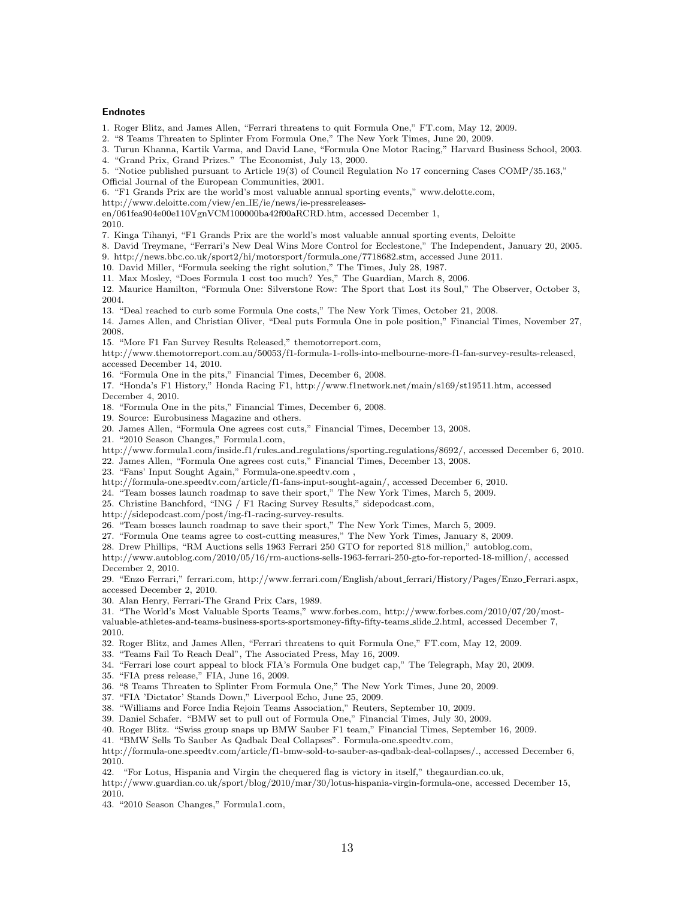#### Endnotes

1. Roger Blitz, and James Allen, "Ferrari threatens to quit Formula One," FT.com, May 12, 2009.

2. "8 Teams Threaten to Splinter From Formula One," The New York Times, June 20, 2009.

3. Turun Khanna, Kartik Varma, and David Lane, "Formula One Motor Racing," Harvard Business School, 2003.

4. "Grand Prix, Grand Prizes." The Economist, July 13, 2000.

5. "Notice published pursuant to Article 19(3) of Council Regulation No 17 concerning Cases COMP/35.163,"

Official Journal of the European Communities, 2001.

6. "F1 Grands Prix are the world's most valuable annual sporting events," www.delotte.com,

http://www.deloitte.com/view/en IE/ie/news/ie-pressreleases-

en/061fea904e00e110VgnVCM100000ba42f00aRCRD.htm, accessed December 1,

2010.

7. Kinga Tihanyi, "F1 Grands Prix are the world's most valuable annual sporting events, Deloitte

8. David Treymane, "Ferrari's New Deal Wins More Control for Ecclestone," The Independent, January 20, 2005.

9. http://news.bbc.co.uk/sport2/hi/motorsport/formula one/7718682.stm, accessed June 2011.

10. David Miller, "Formula seeking the right solution," The Times, July 28, 1987.

11. Max Mosley, "Does Formula 1 cost too much? Yes," The Guardian, March 8, 2006.

12. Maurice Hamilton, "Formula One: Silverstone Row: The Sport that Lost its Soul," The Observer, October 3, 2004.

13. "Deal reached to curb some Formula One costs," The New York Times, October 21, 2008.

14. James Allen, and Christian Oliver, "Deal puts Formula One in pole position," Financial Times, November 27, 2008.

15. "More F1 Fan Survey Results Released," themotorreport.com,

http://www.themotorreport.com.au/50053/f1-formula-1-rolls-into-melbourne-more-f1-fan-survey-results-released, accessed December 14, 2010.

16. "Formula One in the pits," Financial Times, December 6, 2008.

17. "Honda's F1 History," Honda Racing F1, http://www.f1network.net/main/s169/st19511.htm, accessed December 4, 2010.

18. "Formula One in the pits," Financial Times, December 6, 2008.

19. Source: Eurobusiness Magazine and others.

20. James Allen, "Formula One agrees cost cuts," Financial Times, December 13, 2008.

21. "2010 Season Changes," Formula1.com,

http://www.formula1.com/inside f1/rules and regulations/sporting regulations/8692/, accessed December 6, 2010.

22. James Allen, "Formula One agrees cost cuts," Financial Times, December 13, 2008.

23. "Fans' Input Sought Again," Formula-one.speedtv.com ,

http://formula-one.speedtv.com/article/f1-fans-input-sought-again/, accessed December 6, 2010.

24. "Team bosses launch roadmap to save their sport," The New York Times, March 5, 2009.

25. Christine Banchford, "ING / F1 Racing Survey Results," sidepodcast.com,

http://sidepodcast.com/post/ing-f1-racing-survey-results.

26. "Team bosses launch roadmap to save their sport," The New York Times, March 5, 2009.

27. "Formula One teams agree to cost-cutting measures," The New York Times, January 8, 2009.

28. Drew Phillips, "RM Auctions sells 1963 Ferrari 250 GTO for reported \$18 million," autoblog.com,

http://www.autoblog.com/2010/05/16/rm-auctions-sells-1963-ferrari-250-gto-for-reported-18-million/, accessed December 2, 2010.

29. "Enzo Ferrari," ferrari.com, http://www.ferrari.com/English/about ferrari/History/Pages/Enzo Ferrari.aspx, accessed December 2, 2010.

30. Alan Henry, Ferrari-The Grand Prix Cars, 1989.

31. "The World's Most Valuable Sports Teams," www.forbes.com, http://www.forbes.com/2010/07/20/most-

valuable-athletes-and-teams-business-sports-sportsmoney-fifty-fifty-teams slide 2.html, accessed December 7, 2010.

32. Roger Blitz, and James Allen, "Ferrari threatens to quit Formula One," FT.com, May 12, 2009.

33. "Teams Fail To Reach Deal", The Associated Press, May 16, 2009.

34. "Ferrari lose court appeal to block FIA's Formula One budget cap," The Telegraph, May 20, 2009.

35. "FIA press release," FIA, June 16, 2009.

36. "8 Teams Threaten to Splinter From Formula One," The New York Times, June 20, 2009.

37. "FIA 'Dictator' Stands Down," Liverpool Echo, June 25, 2009.

38. "Williams and Force India Rejoin Teams Association," Reuters, September 10, 2009.

39. Daniel Schafer. "BMW set to pull out of Formula One," Financial Times, July 30, 2009.

40. Roger Blitz. "Swiss group snaps up BMW Sauber F1 team," Financial Times, September 16, 2009.

41. "BMW Sells To Sauber As Qadbak Deal Collapses". Formula-one.speedtv.com,

http://formula-one.speedtv.com/article/f1-bmw-sold-to-sauber-as-qadbak-deal-collapses/., accessed December 6, 2010.

42. "For Lotus, Hispania and Virgin the chequered flag is victory in itself," thegaurdian.co.uk,

http://www.guardian.co.uk/sport/blog/2010/mar/30/lotus-hispania-virgin-formula-one, accessed December 15, 2010.

43. "2010 Season Changes," Formula1.com,